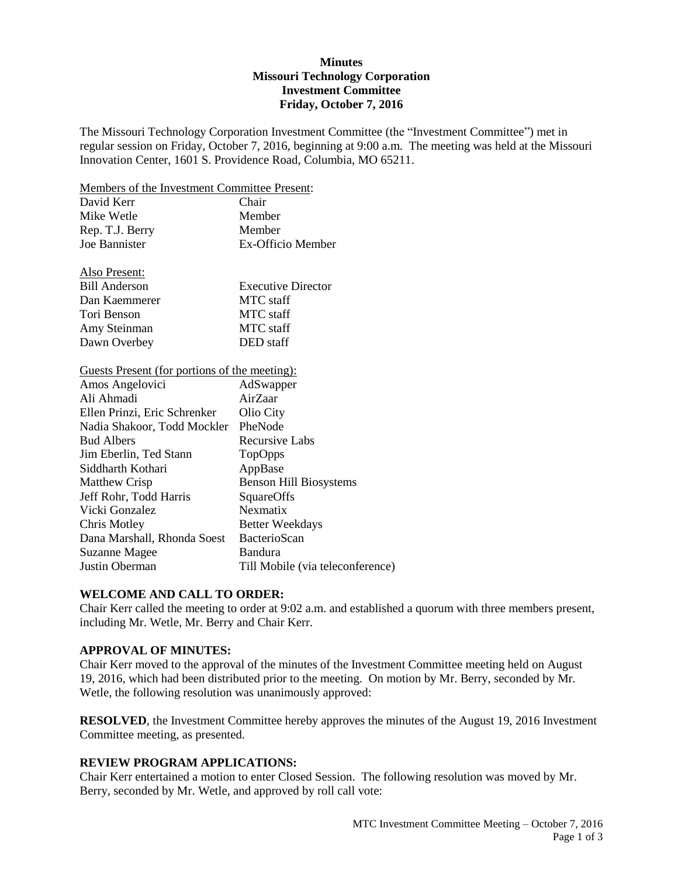# **Minutes Missouri Technology Corporation Investment Committee Friday, October 7, 2016**

The Missouri Technology Corporation Investment Committee (the "Investment Committee") met in regular session on Friday, October 7, 2016, beginning at 9:00 a.m. The meeting was held at the Missouri Innovation Center, 1601 S. Providence Road, Columbia, MO 65211.

Members of the Investment Committee Present:

| David Kerr      | Chair             |
|-----------------|-------------------|
| Mike Wetle      | Member            |
| Rep. T.J. Berry | Member            |
| Joe Bannister   | Ex-Officio Member |
|                 |                   |

| Also Present:        |                           |
|----------------------|---------------------------|
| <b>Bill Anderson</b> | <b>Executive Director</b> |
| Dan Kaemmerer        | MTC staff                 |
| Tori Benson          | <b>MTC</b> staff          |
| Amy Steinman         | MTC staff                 |
| Dawn Overbey         | DED staff                 |

# Guests Present (for portions of the meeting):

| Amos Angelovici              | AdSwapper                        |
|------------------------------|----------------------------------|
| Ali Ahmadi                   | AirZaar                          |
| Ellen Prinzi, Eric Schrenker | Olio City                        |
| Nadia Shakoor, Todd Mockler  | PheNode                          |
| <b>Bud Albers</b>            | Recursive Labs                   |
| Jim Eberlin, Ted Stann       | TopOpps                          |
| Siddharth Kothari            | AppBase                          |
| <b>Matthew Crisp</b>         | <b>Benson Hill Biosystems</b>    |
| Jeff Rohr, Todd Harris       | SquareOffs                       |
| Vicki Gonzalez               | Nexmatix                         |
| Chris Motley                 | <b>Better Weekdays</b>           |
| Dana Marshall, Rhonda Soest  | BacterioScan                     |
| Suzanne Magee                | Bandura                          |
| Justin Oberman               | Till Mobile (via teleconference) |
|                              |                                  |

# **WELCOME AND CALL TO ORDER:**

Chair Kerr called the meeting to order at 9:02 a.m. and established a quorum with three members present, including Mr. Wetle, Mr. Berry and Chair Kerr.

#### **APPROVAL OF MINUTES:**

Chair Kerr moved to the approval of the minutes of the Investment Committee meeting held on August 19, 2016, which had been distributed prior to the meeting. On motion by Mr. Berry, seconded by Mr. Wetle, the following resolution was unanimously approved:

**RESOLVED**, the Investment Committee hereby approves the minutes of the August 19, 2016 Investment Committee meeting, as presented.

#### **REVIEW PROGRAM APPLICATIONS:**

Chair Kerr entertained a motion to enter Closed Session. The following resolution was moved by Mr. Berry, seconded by Mr. Wetle, and approved by roll call vote: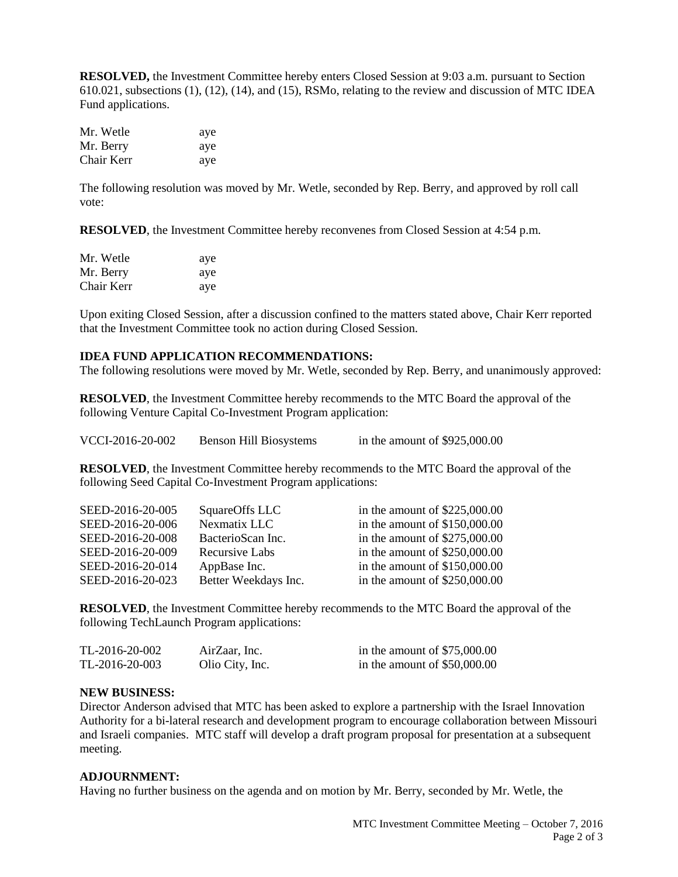**RESOLVED,** the Investment Committee hereby enters Closed Session at 9:03 a.m. pursuant to Section 610.021, subsections (1), (12), (14), and (15), RSMo, relating to the review and discussion of MTC IDEA Fund applications.

| Mr. Wetle  | aye |
|------------|-----|
| Mr. Berry  | aye |
| Chair Kerr | aye |

The following resolution was moved by Mr. Wetle, seconded by Rep. Berry, and approved by roll call vote:

**RESOLVED**, the Investment Committee hereby reconvenes from Closed Session at 4:54 p.m.

| Mr. Wetle  | aye |
|------------|-----|
| Mr. Berry  | aye |
| Chair Kerr | aye |

Upon exiting Closed Session, after a discussion confined to the matters stated above, Chair Kerr reported that the Investment Committee took no action during Closed Session.

# **IDEA FUND APPLICATION RECOMMENDATIONS:**

The following resolutions were moved by Mr. Wetle, seconded by Rep. Berry, and unanimously approved:

**RESOLVED**, the Investment Committee hereby recommends to the MTC Board the approval of the following Venture Capital Co-Investment Program application:

| in the amount of $$925,000.00$ |
|--------------------------------|
|                                |

**RESOLVED**, the Investment Committee hereby recommends to the MTC Board the approval of the following Seed Capital Co-Investment Program applications:

| SEED-2016-20-005 | SquareOffs LLC       | in the amount of $$225,000.00$ |
|------------------|----------------------|--------------------------------|
| SEED-2016-20-006 | Nexmatix LLC         | in the amount of $$150,000.00$ |
| SEED-2016-20-008 | BacterioScan Inc.    | in the amount of $$275,000.00$ |
| SEED-2016-20-009 | Recursive Labs       | in the amount of $$250,000.00$ |
| SEED-2016-20-014 | AppBase Inc.         | in the amount of $$150,000.00$ |
| SEED-2016-20-023 | Better Weekdays Inc. | in the amount of $$250,000.00$ |

**RESOLVED**, the Investment Committee hereby recommends to the MTC Board the approval of the following TechLaunch Program applications:

| TL-2016-20-002 | AirZaar, Inc.   | in the amount of $$75,000.00$ |
|----------------|-----------------|-------------------------------|
| TL-2016-20-003 | Olio City, Inc. | in the amount of $$50,000.00$ |

# **NEW BUSINESS:**

Director Anderson advised that MTC has been asked to explore a partnership with the Israel Innovation Authority for a bi-lateral research and development program to encourage collaboration between Missouri and Israeli companies. MTC staff will develop a draft program proposal for presentation at a subsequent meeting.

# **ADJOURNMENT:**

Having no further business on the agenda and on motion by Mr. Berry, seconded by Mr. Wetle, the